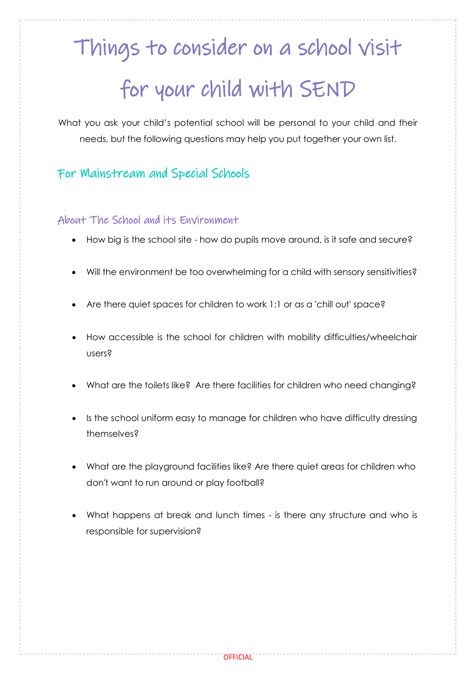# Things to consider on a school visit for your child with SEND

What you ask your child's potential school will be personal to your child and their needs, but the following questions may help you put together your own list.

## For Mainstream and Special Schools

#### About The School and its Environment

- How big is the school site how do pupils move around, is it safe and secure?
- Will the environment be too overwhelming for a child with sensory sensitivities?
- Are there quiet spaces for children to work 1:1 or as a 'chill out' space?
- How accessible is the school for children with mobility difficulties/wheelchair users?
- What are the toilets like? Are there facilities for children who need changing?
- Is the school uniform easy to manage for children who have difficulty dressing themselves?
- What are the playground facilities like? Are there quiet areas for children who don't want to run around or play football?
- What happens at break and lunch times is there any structure and who is responsible for supervision?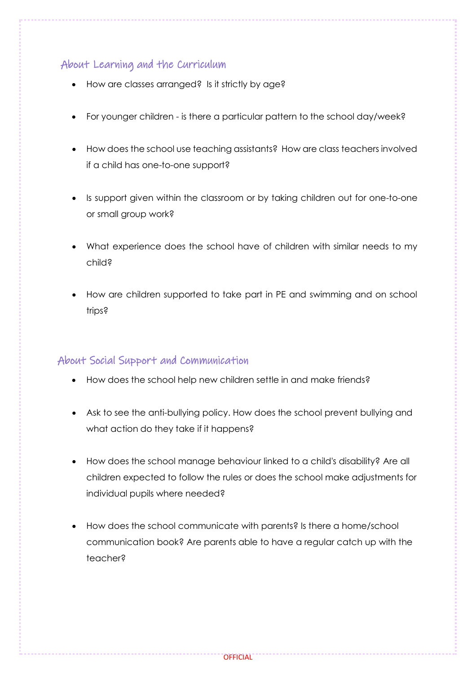### About Learning and the Curriculum

- How are classes arranged? Is it strictly by age?
- For younger children is there a particular pattern to the school day/week?
- How does the school use teaching assistants? How are class teachers involved if a child has one-to-one support?
- Is support given within the classroom or by taking children out for one-to-one or small group work?
- What experience does the school have of children with similar needs to my child?
- How are children supported to take part in PE and swimming and on school trips?

#### About Social Support and Communication

- How does the school help new children settle in and make friends?
- Ask to see the anti-bullying policy. How does the school prevent bullying and what action do they take if it happens?
- How does the school manage behaviour linked to a child's disability? Are all children expected to follow the rules or does the school make adjustments for individual pupils where needed?
- How does the school communicate with parents? Is there a home/school communication book? Are parents able to have a regular catch up with the teacher?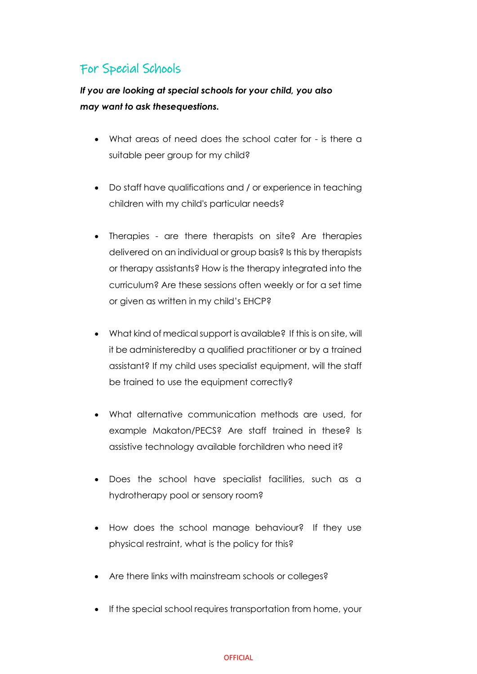# For Special Schools

*If you are looking at special schools for your child, you also may want to ask thesequestions.*

- What areas of need does the school cater for is there a suitable peer group for my child?
- Do staff have qualifications and / or experience in teaching children with my child's particular needs?
- Therapies are there therapists on site? Are therapies delivered on an individual or group basis? Is this by therapists or therapy assistants? How is the therapy integrated into the curriculum? Are these sessions often weekly or for a set time or given as written in my child's EHCP?
- What kind of medical support is available? If this is on site, will it be administeredby a qualified practitioner or by a trained assistant? If my child uses specialist equipment, will the staff be trained to use the equipment correctly?
- What alternative communication methods are used, for example Makaton/PECS? Are staff trained in these? Is assistive technology available forchildren who need it?
- Does the school have specialist facilities, such as a hydrotherapy pool or sensory room?
- How does the school manage behaviour? If they use physical restraint, what is the policy for this?
- Are there links with mainstream schools or colleges?
- If the special school requires transportation from home, your

#### **OFFICIAL**